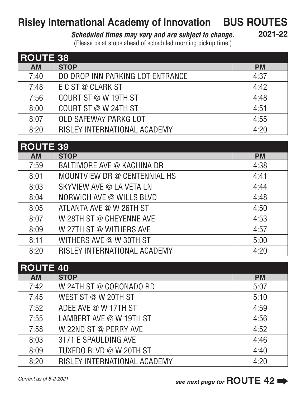## **Risley International Academy of Innovation BUS ROUTES**

## *Scheduled times may vary and are subject to change.*

**2021-22**

(Please be at stops ahead of scheduled morning pickup time.)

| <b>ROUTE 38</b> |                                  |           |  |  |
|-----------------|----------------------------------|-----------|--|--|
| <b>AM</b>       | <b>STOP</b>                      | <b>PM</b> |  |  |
| 7:40            | DO DROP INN PARKING LOT ENTRANCE | 4:37      |  |  |
| 7:48            | E C ST @ CLARK ST                | 4:42      |  |  |
| 7:56            | COURT ST @ W 19TH ST             | 4:48      |  |  |
| 8:00            | COURT ST @ W 24TH ST             | 4:51      |  |  |
| 8:07            | OLD SAFEWAY PARKG LOT            | 4:55      |  |  |
| 8:20            | RISLEY INTERNATIONAL ACADEMY     | 4:20      |  |  |

| <b>ROUTE 39</b> |                              |           |  |  |
|-----------------|------------------------------|-----------|--|--|
| <b>AM</b>       | <b>STOP</b>                  | <b>PM</b> |  |  |
| 7:59            | BALTIMORE AVE @ KACHINA DR   | 4:38      |  |  |
| 8:01            | MOUNTVIEW DR @ CENTENNIAL HS | 4:41      |  |  |
| 8:03            | SKYVIEW AVE @ LA VETA LN     | 4:44      |  |  |
| 8:04            | NORWICH AVE @ WILLS BLVD     | 4:48      |  |  |
| 8:05            | ATLANTA AVE @ W 26TH ST      | 4:50      |  |  |
| 8:07            | W 28TH ST @ CHEYENNE AVE     | 4:53      |  |  |
| 8:09            | W 27TH ST @ WITHERS AVE      | 4:57      |  |  |
| 8:11            | WITHERS AVE @ W 30TH ST      | 5:00      |  |  |
| 8:20            | RISLEY INTERNATIONAL ACADEMY | 4:20      |  |  |

| <b>ROUTE 40</b> |                              |           |  |  |
|-----------------|------------------------------|-----------|--|--|
| <b>AM</b>       | <b>STOP</b>                  | <b>PM</b> |  |  |
| 7:42            | W 24TH ST @ CORONADO RD      | 5:07      |  |  |
| 7:45            | WEST ST @ W 20TH ST          | 5:10      |  |  |
| 7:52            | ADEE AVE @ W 17TH ST         | 4:59      |  |  |
| 7:55            | LAMBERT AVE @ W 19TH ST      | 4:56      |  |  |
| 7:58            | W 22ND ST @ PERRY AVE        | 4:52      |  |  |
| 8:03            | 3171 E SPAULDING AVE         | 4:46      |  |  |
| 8:09            | TUXEDO BLVD @ W 20TH ST      | 4:40      |  |  |
| 8:20            | RISLEY INTERNATIONAL ACADEMY | 4:20      |  |  |